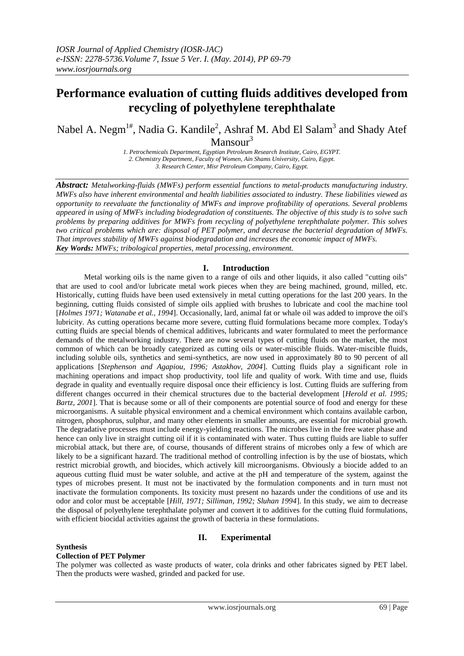## **Performance evaluation of cutting fluids additives developed from recycling of polyethylene terephthalate**

Nabel A. Negm $^{1\#}$ , Nadia G. Kandile<sup>2</sup>, Ashraf M. Abd El Salam<sup>3</sup> and Shady Atef Mansour $3$ 

> *1. Petrochemicals Department, Egyptian Petroleum Research Institute, Cairo, EGYPT. 2. Chemistry Department, Faculty of Women, Ain Shams University, Cairo, Egypt. 3. Research Center, Misr Petroleum Company, Cairo, Egypt.*

*Abstract: Metalworking-fluids (MWFs) perform essential functions to metal-products manufacturing industry. MWFs also have inherent environmental and health liabilities associated to industry. These liabilities viewed as opportunity to reevaluate the functionality of MWFs and improve profitability of operations. Several problems appeared in using of MWFs including biodegradation of constituents. The objective of this study is to solve such problems by preparing additives for MWFs from recycling of polyethylene terephthalate polymer. This solves two critical problems which are: disposal of PET polymer, and decrease the bacterial degradation of MWFs. That improves stability of MWFs against biodegradation and increases the economic impact of MWFs. Key Words: MWFs; tribological properties, metal processing, environment.*

## **I. Introduction**

Metal working oils is the name given to a range of oils and other liquids, it also called "cutting oils" that are used to cool and/or lubricate metal work pieces when they are being machined, ground, milled, etc. Historically, cutting fluids have been used extensively in metal cutting operations for the last 200 years. In the beginning, cutting fluids consisted of simple oils applied with brushes to lubricate and cool the machine tool [*Holmes 1971; Watanabe et al., 1994*]. Occasionally, lard, animal fat or whale oil was added to improve the oil's lubricity. As cutting operations became more severe, cutting fluid formulations became more complex. Today's cutting fluids are special blends of chemical additives, lubricants and water formulated to meet the performance demands of the metalworking industry. There are now several types of cutting fluids on the market, the most common of which can be broadly categorized as cutting oils or water-miscible fluids. Water-miscible fluids, including soluble oils, synthetics and semi-synthetics, are now used in approximately 80 to 90 percent of all applications [*Stephenson and Agapiou, 1996; Astakhov, 2004*]. Cutting fluids play a significant role in machining operations and impact shop productivity, tool life and quality of work. With time and use, fluids degrade in quality and eventually require disposal once their efficiency is lost. Cutting fluids are suffering from different changes occurred in their chemical structures due to the bacterial development [*Herold et al. 1995; Bartz*, 2001]. That is because some or all of their components are potential source of food and energy for these microorganisms. A suitable physical environment and a chemical environment which contains available carbon, nitrogen, phosphorus, sulphur, and many other elements in smaller amounts, are essential for microbial growth. The degradative processes must include energy-yielding reactions. The microbes live in the free water phase and hence can only live in straight cutting oil if it is contaminated with water. Thus cutting fluids are liable to suffer microbial attack, but there are, of course, thousands of different strains of microbes only a few of which are likely to be a significant hazard. The traditional method of controlling infection is by the use of biostats, which restrict microbial growth, and biocides, which actively kill microorganisms. Obviously a biocide added to an aqueous cutting fluid must be water soluble, and active at the pH and temperature of the system, against the types of microbes present. It must not be inactivated by the formulation components and in turn must not inactivate the formulation components. Its toxicity must present no hazards under the conditions of use and its odor and color must be acceptable [*Hill, 1971; Silliman, 1992; Sluhan 1994*]. In this study, we aim to decrease the disposal of polyethylene terephthalate polymer and convert it to additives for the cutting fluid formulations, with efficient biocidal activities against the growth of bacteria in these formulations.

## **Synthesis**

## **II. Experimental**

## **Collection of PET Polymer**

The polymer was collected as waste products of water, cola drinks and other fabricates signed by PET label. Then the products were washed, grinded and packed for use.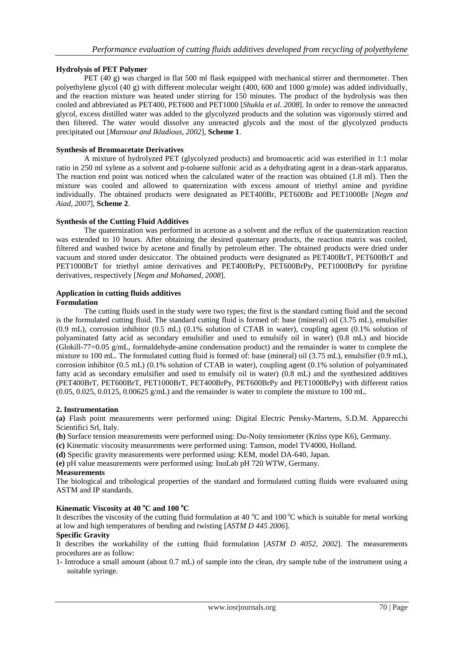## **Hydrolysis of PET Polymer**

PET (40 g) was charged in flat 500 ml flask equipped with mechanical stirrer and thermometer. Then polyethylene glycol (40 g) with different molecular weight (400, 600 and 1000 g/mole) was added individually, and the reaction mixture was heated under stirring for 150 minutes. The product of the hydrolysis was then cooled and abbreviated as PET400, PET600 and PET1000 [*Shukla et al. 2008*]. In order to remove the unreacted glycol, excess distilled water was added to the glycolyzed products and the solution was vigorously stirred and then filtered. The water would dissolve any unreacted glycols and the most of the glycolyzed products precipitated out [*Mansour and Ikladious, 2002*], **Scheme 1**.

## **Synthesis of Bromoacetate Derivatives**

A mixture of hydrolyzed PET (glycolyzed products) and bromoacetic acid was esterified in 1:1 molar ratio in 250 ml xylene as a solvent and p-toluene sulfonic acid as a dehydrating agent in a dean-stark apparatus. The reaction end point was noticed when the calculated water of the reaction was obtained (1.8 ml). Then the mixture was cooled and allowed to quaternization with excess amount of triethyl amine and pyridine individually. The obtained products were designated as PET400Br, PET600Br and PET1000Br [*Negm and Aiad, 2007*], **Scheme 2**.

## **Synthesis of the Cutting Fluid Additives**

The quaternization was performed in acetone as a solvent and the reflux of the quaternization reaction was extended to 10 hours. After obtaining the desired quaternary products, the reaction matrix was cooled, filtered and washed twice by acetone and finally by petroleum ether. The obtained products were dried under vacuum and stored under desiccator. The obtained products were designated as PET400BrT, PET600BrT and PET1000BrT for triethyl amine derivatives and PET400BrPy, PET600BrPy, PET1000BrPy for pyridine derivatives, respectively [*Negm and Mohamed, 2008*].

# **Application in cutting fluids additives**

**Formulation**

The cutting fluids used in the study were two types; the first is the standard cutting fluid and the second is the formulated cutting fluid. The standard cutting fluid is formed of: base (mineral) oil (3.75 mL), emulsifier (0.9 mL), corrosion inhibitor (0.5 mL) (0.1% solution of CTAB in water), coupling agent (0.1% solution of polyaminated fatty acid as secondary emulsifier and used to emulsify oil in water) (0.8 mL) and biocide (Glokill-77=0.05  $g/mL$ , formaldehyde-amine condensation product) and the remainder is water to complete the mixture to 100 mL. The formulated cutting fluid is formed of: base (mineral) oil (3.75 mL), emulsifier (0.9 mL), corrosion inhibitor (0.5 mL) (0.1% solution of CTAB in water), coupling agent (0.1% solution of polyaminated fatty acid as secondary emulsifier and used to emulsify oil in water) (0.8 mL) and the synthesized additives (PET400BrT, PET600BrT, PET1000BrT, PET400BrPy, PET600BrPy and PET1000BrPy) with different ratios  $(0.05, 0.025, 0.0125, 0.00625 \text{ g/mL})$  and the remainder is water to complete the mixture to 100 mL.

#### **2. Instrumentation**

**(a)** Flash point measurements were performed using: Digital Electric Pensky-Martens, S.D.M. Apparecchi Scientifici Srl, Italy.

**(b)** Surface tension measurements were performed using: Du-Noüy tensiometer (Krüss type K6), Germany.

**(c)** Kinematic viscosity measurements were performed using: Tamson, model TV4000, Holland.

**(d)** Specific gravity measurements were performed using: KEM, model DA-640, Japan.

**(e)** pH value measurements were performed using: InoLab pH 720 WTW, Germany.

## **Measurements**

The biological and tribological properties of the standard and formulated cutting fluids were evaluated using ASTM and IP standards.

## **Kinematic Viscosity at 40 <sup>o</sup>C and 100 <sup>o</sup>C**

It describes the viscosity of the cutting fluid formulation at 40  $^{\circ}$ C and 100  $^{\circ}$ C which is suitable for metal working at low and high temperatures of bending and twisting [*ASTM D 445 2006*].

## **Specific Gravity**

It describes the workability of the cutting fluid formulation [*ASTM D 4052, 2002*]. The measurements procedures are as follow:

1- Introduce a small amount (about 0.7 mL) of sample into the clean, dry sample tube of the instrument using a suitable syringe.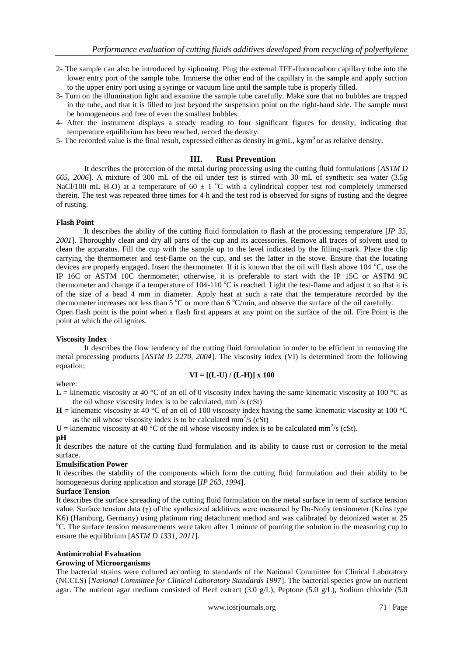- 2- The sample can also be introduced by siphoning. Plug the external TFE-fluorocarbon capillary tube into the lower entry port of the sample tube. Immerse the other end of the capillary in the sample and apply suction to the upper entry port using a syringe or vacuum line until the sample tube is properly filled.
- 3- Turn on the illumination light and examine the sample tube carefully. Make sure that no bubbles are trapped in the tube, and that it is filled to just beyond the suspension point on the right-hand side. The sample must be homogeneous and free of even the smallest bubbles.
- 4- After the instrument displays a steady reading to four significant figures for density, indicating that temperature equilibrium has been reached, record the density.
- 5- The recorded value is the final result, expressed either as density in  $g/mL$ , kg/m<sup>3</sup> or as relative density.

## **III. Rust Prevention**

It describes the protection of the metal during processing using the cutting fluid formulations [*ASTM D 665, 2006*]. A mixture of 300 mL of the oil under test is stirred with 30 mL of synthetic sea water (3.5g NaCl/100 mL H<sub>2</sub>O) at a temperature of 60  $\pm$  1 °C with a cylindrical copper test rod completely immersed therein. The test was repeated three times for 4 h and the test rod is observed for signs of rusting and the degree of rusting.

#### **Flash Point**

It describes the ability of the cutting fluid formulation to flash at the processing temperature [*IP 35, 2001*]. Thoroughly clean and dry all parts of the cup and its accessories. Remove all traces of solvent used to clean the apparatus. Fill the cup with the sample up to the level indicated by the filling-mark. Place the clip carrying the thermometer and test-flame on the cup, and set the latter in the stove. Ensure that the locating devices are properly engaged. Insert the thermometer. If it is known that the oil will flash above  $104 \degree C$ , use the IP 16C or ASTM 10C thermometer, otherwise, it is preferable to start with the IP 15C or ASTM 9C thermometer and change if a temperature of 104-110  $^{\circ}$ C is reached. Light the test-flame and adjust it so that it is of the size of a bead 4 mm in diameter. Apply heat at such a rate that the temperature recorded by the thermometer increases not less than  $5^{\circ}$ C or more than  $6^{\circ}$ C/min, and observe the surface of the oil carefully. Open flash point is the point when a flash first appears at any point on the surface of the oil. Fire Point is the point at which the oil ignites.

#### **Viscosity Index**

It describes the flow tendency of the cutting fluid formulation in order to be efficient in removing the metal processing products [*ASTM D 2270, 2004*]. The viscosity index (VI) is determined from the following equation:

## **VI = [(L-U) / (L-H)] x 100**

#### where:

**L** = kinematic viscosity at 40 °C of an oil of 0 viscosity index having the same kinematic viscosity at 100 °C as the oil whose viscosity index is to be calculated,  $mm^2$ /s (cSt)

 $H =$  kinematic viscosity at 40 °C of an oil of 100 viscosity index having the same kinematic viscosity at 100 °C as the oil whose viscosity index is to be calculated  $mm^2$ /s (cSt)

 $U =$  kinematic viscosity at 40 °C of the oil whose viscosity index is to be calculated mm<sup>2</sup>/s (cSt).

#### **pH**

It describes the nature of the cutting fluid formulation and its ability to cause rust or corrosion to the metal surface.

#### **Emulsification Power**

It describes the stability of the components which form the cutting fluid formulation and their ability to be homogeneous during application and storage [*IP 263, 1994*].

## **Surface Tension**

It describes the surface spreading of the cutting fluid formulation on the metal surface in term of surface tension value. Surface tension data (γ) of the synthesized additives were measured by Du-Noüy tensiometer (Krüss type K6) (Hamburg, Germany) using platinum ring detachment method and was calibrated by deionized water at 25 <sup>o</sup>C. The surface tension measurements were taken after 1 minute of pouring the solution in the measuring cup to ensure the equilibrium [*ASTM D 1331, 2011*].

#### **Antimicrobial Evaluation**

#### **Growing of Microorganisms**

The bacterial strains were cultured according to standards of the National Committee for Clinical Laboratory (NCCLS) [*National Committee for Clinical Laboratory Standards 1997*]. The bacterial species grow on nutrient agar. The nutrient agar medium consisted of Beef extract (3.0 g/L), Peptone (5.0 g/L), Sodium chloride (5.0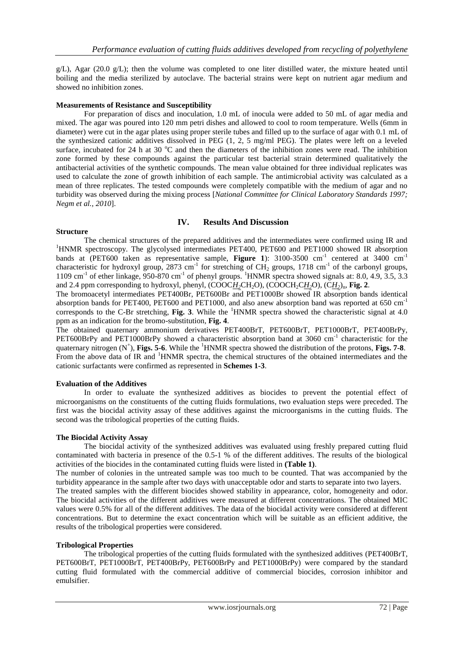$g/L$ ), Agar (20.0  $g/L$ ); then the volume was completed to one liter distilled water, the mixture heated until boiling and the media sterilized by autoclave. The bacterial strains were kept on nutrient agar medium and showed no inhibition zones.

## **Measurements of Resistance and Susceptibility**

For preparation of discs and inoculation, 1.0 mL of inocula were added to 50 mL of agar media and mixed. The agar was poured into 120 mm petri dishes and allowed to cool to room temperature. Wells (6mm in diameter) were cut in the agar plates using proper sterile tubes and filled up to the surface of agar with 0.1 mL of the synthesized cationic additives dissolved in PEG (1, 2, 5 mg/ml PEG). The plates were left on a leveled surface, incubated for 24 h at 30  $^{\circ}$ C and then the diameters of the inhibition zones were read. The inhibition zone formed by these compounds against the particular test bacterial strain determined qualitatively the antibacterial activities of the synthetic compounds. The mean value obtained for three individual replicates was used to calculate the zone of growth inhibition of each sample. The antimicrobial activity was calculated as a mean of three replicates. The tested compounds were completely compatible with the medium of agar and no turbidity was observed during the mixing process [*National Committee for Clinical Laboratory Standards 1997; Negm et al., 2010*].

## **IV. Results And Discussion**

#### **Structure**

The chemical structures of the prepared additives and the intermediates were confirmed using IR and <sup>1</sup>HNMR spectroscopy. The glycolysed intermediates PET400, PET600 and PET1000 showed IR absorption bands at (PET600 taken as representative sample, Figure 1): 3100-3500 cm<sup>-1</sup> centered at 3400 cm<sup>-1</sup> characteristic for hydroxyl group, 2873 cm<sup>-1</sup> for stretching of CH<sub>2</sub> groups, 1718 cm<sup>-1</sup> of the carbonyl groups, 1109 cm<sup>-1</sup> of ether linkage, 950-870 cm<sup>-1</sup> of phenyl groups. <sup>1</sup>HNMR spectra showed signals at: 8.0, 4.9, 3.5, 3.3 and 2.4 ppm corresponding to hydroxyl, phenyl, (COOC*H*<sub>2</sub>CH<sub>2</sub>O), (COOCH<sub>2</sub>CH<sub>2</sub>O), (CH<sub>2</sub>)<sub>n</sub>, **Fig. 2**.

The bromoacetyl intermediates PET400Br, PET600Br and PET1000Br showed IR absorption bands identical absorption bands for PET400, PET600 and PET1000, and also anew absorption band was reported at 650 cm<sup>-1</sup> corresponds to the C-Br stretching, **Fig. 3**. While the <sup>1</sup>HNMR spectra showed the characteristic signal at 4.0 ppm as an indication for the bromo-substitution, **Fig. 4**.

The obtained quaternary ammonium derivatives PET400BrT, PET600BrT, PET1000BrT, PET400BrPy, PET600BrPy and PET1000BrPy showed a characteristic absorption band at 3060 cm<sup>-1</sup> characteristic for the quaternary nitrogen (N<sup>+</sup>), **Figs. 5-6**. While the <sup>1</sup>HNMR spectra showed the distribution of the protons, **Figs. 7-8**. From the above data of IR and <sup>1</sup>HNMR spectra, the chemical structures of the obtained intermediates and the cationic surfactants were confirmed as represented in **Schemes 1-3**.

#### **Evaluation of the Additives**

In order to evaluate the synthesized additives as biocides to prevent the potential effect of microorganisms on the constituents of the cutting fluids formulations, two evaluation steps were preceded. The first was the biocidal activity assay of these additives against the microorganisms in the cutting fluids. The second was the tribological properties of the cutting fluids.

#### **The Biocidal Activity Assay**

The biocidal activity of the synthesized additives was evaluated using freshly prepared cutting fluid contaminated with bacteria in presence of the 0.5-1 % of the different additives. The results of the biological activities of the biocides in the contaminated cutting fluids were listed in **(Table 1)**.

The number of colonies in the untreated sample was too much to be counted. That was accompanied by the turbidity appearance in the sample after two days with unacceptable odor and starts to separate into two layers.

The treated samples with the different biocides showed stability in appearance, color, homogeneity and odor. The biocidal activities of the different additives were measured at different concentrations. The obtained MIC values were 0.5% for all of the different additives. The data of the biocidal activity were considered at different concentrations. But to determine the exact concentration which will be suitable as an efficient additive, the results of the tribological properties were considered.

#### **Tribological Properties**

The tribological properties of the cutting fluids formulated with the synthesized additives (PET400BrT, PET600BrT, PET1000BrT, PET400BrPy, PET600BrPy and PET1000BrPy) were compared by the standard cutting fluid formulated with the commercial additive of commercial biocides, corrosion inhibitor and emulsifier.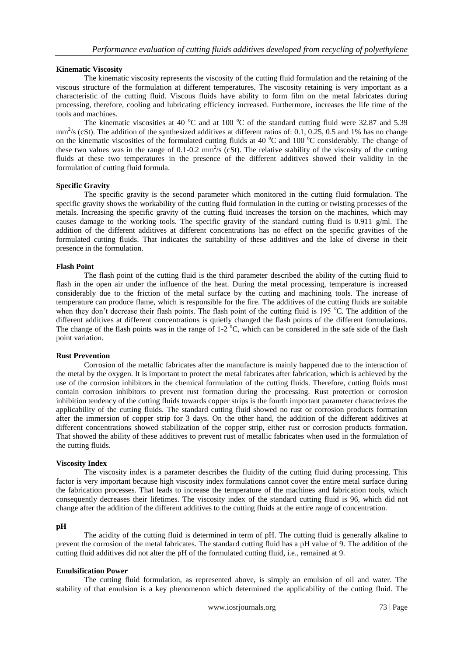## **Kinematic Viscosity**

The kinematic viscosity represents the viscosity of the cutting fluid formulation and the retaining of the viscous structure of the formulation at different temperatures. The viscosity retaining is very important as a characteristic of the cutting fluid. Viscous fluids have ability to form film on the metal fabricates during processing, therefore, cooling and lubricating efficiency increased. Furthermore, increases the life time of the tools and machines.

The kinematic viscosities at 40  $^{\circ}$ C and at 100  $^{\circ}$ C of the standard cutting fluid were 32.87 and 5.39  $mm<sup>2</sup>/s$  (cSt). The addition of the synthesized additives at different ratios of: 0.1, 0.25, 0.5 and 1% has no change on the kinematic viscosities of the formulated cutting fluids at 40  $^{\circ}$ C and 100  $^{\circ}$ C considerably. The change of these two values was in the range of 0.1-0.2  $mm^2/s$  (cSt). The relative stability of the viscosity of the cutting fluids at these two temperatures in the presence of the different additives showed their validity in the formulation of cutting fluid formula.

#### **Specific Gravity**

The specific gravity is the second parameter which monitored in the cutting fluid formulation. The specific gravity shows the workability of the cutting fluid formulation in the cutting or twisting processes of the metals. Increasing the specific gravity of the cutting fluid increases the torsion on the machines, which may causes damage to the working tools. The specific gravity of the standard cutting fluid is 0.911 g/ml. The addition of the different additives at different concentrations has no effect on the specific gravities of the formulated cutting fluids. That indicates the suitability of these additives and the lake of diverse in their presence in the formulation.

#### **Flash Point**

The flash point of the cutting fluid is the third parameter described the ability of the cutting fluid to flash in the open air under the influence of the heat. During the metal processing, temperature is increased considerably due to the friction of the metal surface by the cutting and machining tools. The increase of temperature can produce flame, which is responsible for the fire. The additives of the cutting fluids are suitable when they don't decrease their flash points. The flash point of the cutting fluid is 195 °C. The addition of the different additives at different concentrations is quietly changed the flash points of the different formulations. The change of the flash points was in the range of  $1-2$  °C, which can be considered in the safe side of the flash point variation.

#### **Rust Prevention**

Corrosion of the metallic fabricates after the manufacture is mainly happened due to the interaction of the metal by the oxygen. It is important to protect the metal fabricates after fabrication, which is achieved by the use of the corrosion inhibitors in the chemical formulation of the cutting fluids. Therefore, cutting fluids must contain corrosion inhibitors to prevent rust formation during the processing. Rust protection or corrosion inhibition tendency of the cutting fluids towards copper strips is the fourth important parameter characterizes the applicability of the cutting fluids. The standard cutting fluid showed no rust or corrosion products formation after the immersion of copper strip for 3 days. On the other hand, the addition of the different additives at different concentrations showed stabilization of the copper strip, either rust or corrosion products formation. That showed the ability of these additives to prevent rust of metallic fabricates when used in the formulation of the cutting fluids.

## **Viscosity Index**

The viscosity index is a parameter describes the fluidity of the cutting fluid during processing. This factor is very important because high viscosity index formulations cannot cover the entire metal surface during the fabrication processes. That leads to increase the temperature of the machines and fabrication tools, which consequently decreases their lifetimes. The viscosity index of the standard cutting fluid is 96, which did not change after the addition of the different additives to the cutting fluids at the entire range of concentration.

#### **pH**

The acidity of the cutting fluid is determined in term of pH. The cutting fluid is generally alkaline to prevent the corrosion of the metal fabricates. The standard cutting fluid has a pH value of 9. The addition of the cutting fluid additives did not alter the pH of the formulated cutting fluid, i.e., remained at 9.

#### **Emulsification Power**

The cutting fluid formulation, as represented above, is simply an emulsion of oil and water. The stability of that emulsion is a key phenomenon which determined the applicability of the cutting fluid. The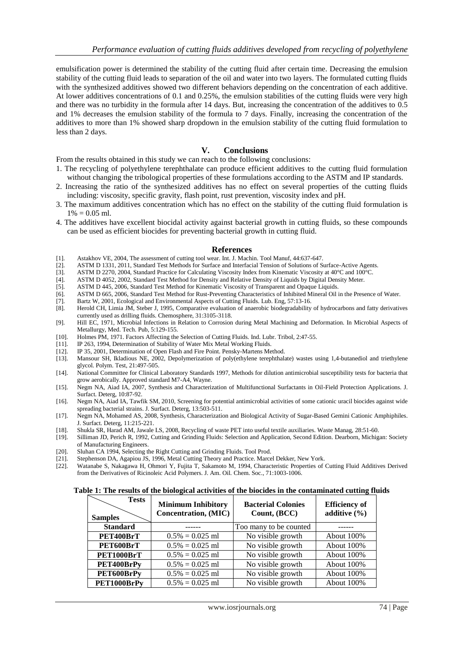emulsification power is determined the stability of the cutting fluid after certain time. Decreasing the emulsion stability of the cutting fluid leads to separation of the oil and water into two layers. The formulated cutting fluids with the synthesized additives showed two different behaviors depending on the concentration of each additive. At lower additives concentrations of 0.1 and 0.25%, the emulsion stabilities of the cutting fluids were very high and there was no turbidity in the formula after 14 days. But, increasing the concentration of the additives to 0.5 and 1% decreases the emulsion stability of the formula to 7 days. Finally, increasing the concentration of the additives to more than 1% showed sharp dropdown in the emulsion stability of the cutting fluid formulation to less than 2 days.

## **V. Conclusions**

From the results obtained in this study we can reach to the following conclusions:

- 1. The recycling of polyethylene terephthalate can produce efficient additives to the cutting fluid formulation without changing the tribological properties of these formulations according to the ASTM and IP standards.
- 2. Increasing the ratio of the synthesized additives has no effect on several properties of the cutting fluids including: viscosity, specific gravity, flash point, rust prevention, viscosity index and pH.
- 3. The maximum additives concentration which has no effect on the stability of the cutting fluid formulation is  $1\% = 0.05$  ml.
- 4. The additives have excellent biocidal activity against bacterial growth in cutting fluids, so these compounds can be used as efficient biocides for preventing bacterial growth in cutting fluid.

#### **References**

- [1]. Astakhov VE, 2004, The assessment of cutting tool wear. Int. J. Machin. Tool Manuf, 44:637-647.
- [2]. ASTM D 1331, 2011, Standard Test Methods for Surface and Interfacial Tension of Solutions of Surface-Active Agents.
- [3]. ASTM D 2270, 2004, Standard Practice for Calculating Viscosity Index from Kinematic Viscosity at 40°C and 100°C.<br>[4]. ASTM D 4052, 2002, Standard Test Method for Density and Relative Density of Liquids by Digital Dens
- [4]. ASTM D 4052, 2002, Standard Test Method for Density and Relative Density of Liquids by Digital Density Meter.<br>[5]. ASTM D 445, 2006, Standard Test Method for Kinematic Viscosity of Transparent and Opaque Liquids.
- ASTM D 445, 2006, Standard Test Method for Kinematic Viscosity of Transparent and Opaque Liquids.
- [6]. ASTM D 665, 2006, Standard Test Method for Rust-Preventing Characteristics of Inhibited Mineral Oil in the Presence of Water.<br>[7]. Bartz W, 2001, Ecological and Environmental Aspects of Cutting Fluids. Lub. Eng, 57:13
- [7]. Bartz W, 2001, Ecological and Environmental Aspects of Cutting Fluids. Lub. Eng, 57:13-16. [8]. Herold CH, Limia JM, Steber J, 1995, Comparative evaluation of anaerobic biodegradability
- Herold CH, Limia JM, Steber J, 1995, Comparative evaluation of anaerobic biodegradability of hydrocarbons and fatty derivatives currently used as drilling fluids. Chemosphere, 31:3105-3118.
- [9]. Hill EC, 1971, Microbial Infections in Relation to Corrosion during Metal Machining and Deformation. In Microbial Aspects of Metallurgy, Med. Tech. Pub, 5:129-155.
- [10]. Holmes PM, 1971. Factors Affecting the Selection of Cutting Fluids. Ind. Lubr. Tribol, 2:47-55.
- [11]. IP 263, 1994, Determination of Stability of Water Mix Metal Working Fluids.
- [12]. IP 35, 2001, Determination of Open Flash and Fire Point. Pensky-Martens Method.
- [13]. Mansour SH, Ikladious NE, 2002, Depolymerization of poly(ethylene terephthalate) wastes using 1,4-butanediol and triethylene glycol. Polym. Test, 21:497-505.
- [14]. National Committee for Clinical Laboratory Standards 1997, Methods for dilution antimicrobial susceptibility tests for bacteria that grow aerobically. Approved standard M7-A4, Wayne.
- [15]. Negm NA, Aiad IA, 2007, Synthesis and Characterization of Multifunctional Surfactants in Oil-Field Protection Applications. J. Surfact. Deterg, 10:87-92.
- [16]. Negm NA, Aiad IA, Tawfik SM, 2010, Screening for potential antimicrobial activities of some cationic uracil biocides against wide spreading bacterial strains. J. Surfact. Deterg, 13:503-511.
- [17]. Negm NA, Mohamed AS, 2008, Synthesis, Characterization and Biological Activity of Sugar-Based Gemini Cationic Amphiphiles. J. Surfact. Deterg, 11:215-221.
- [18]. Shukla SR, Harad AM, Jawale LS, 2008, Recycling of waste PET into useful textile auxiliaries. Waste Manag, 28:51-60.
- [19]. Silliman JD, Perich R, 1992, Cutting and Grinding Fluids: Selection and Application, Second Edition. Dearborn, Michigan: Society of Manufacturing Engineers.
- [20]. Sluhan CA 1994, Selecting the Right Cutting and Grinding Fluids. Tool Prod.
- [21]. Stephenson DA, Agapiou JS, 1996, Metal Cutting Theory and Practice. Marcel Dekker, New York.<br>[22]. Watanabe S, Nakagawa H, Ohmori Y, Fujita T, Sakamoto M, 1994, Characteristic Properties of
- [22]. Watanabe S, Nakagawa H, Ohmori Y, Fujita T, Sakamoto M, 1994, Characteristic Properties of Cutting Fluid Additives Derived from the Derivatives of Ricinoleic Acid Polymers. J. Am. Oil. Chem. Soc., 71:1003-1006.

#### **Table 1: The results of the biological activities of the biocides in the contaminated cutting fluids**

| <b>Tests</b><br><b>Samples</b> | <b>Minimum Inhibitory</b><br>Concentration, (MIC) | <b>Bacterial Colonies</b><br>Count, (BCC) | <b>Efficiency</b> of<br>additive $(\% )$ |
|--------------------------------|---------------------------------------------------|-------------------------------------------|------------------------------------------|
| <b>Standard</b>                |                                                   | Too many to be counted                    |                                          |
| PET400BrT                      | $0.5\% = 0.025$ ml                                | No visible growth                         | About 100\%                              |
| PET600BrT                      | $0.5\% = 0.025$ ml                                | No visible growth                         | About 100%                               |
| PET1000BrT                     | $0.5\% = 0.025$ ml                                | No visible growth                         | About 100%                               |
| PET400BrPy                     | $0.5\% = 0.025$ ml                                | No visible growth                         | About 100%                               |
| PET600BrPy                     | $0.5\% = 0.025$ ml                                | No visible growth                         | About 100%                               |
| PET1000BrPy                    | $0.5\% = 0.025$ ml                                | No visible growth                         | About 100%                               |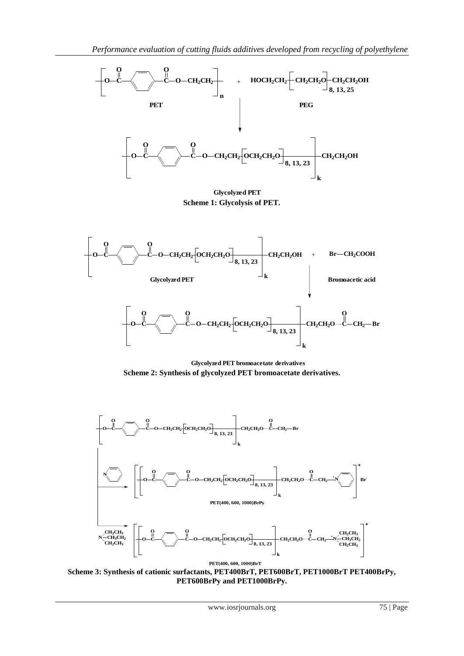

**Glycolyzed PET Scheme 1: Glycolysis of PET.**



**Glycolyzed PET bromoacetate derivatives Scheme 2: Synthesis of glycolyzed PET bromoacetate derivatives.**



**Scheme 3: Synthesis of cationic surfactants, PET400BrT, PET600BrT, PET1000BrT PET400BrPy, PET600BrPy and PET1000BrPy.**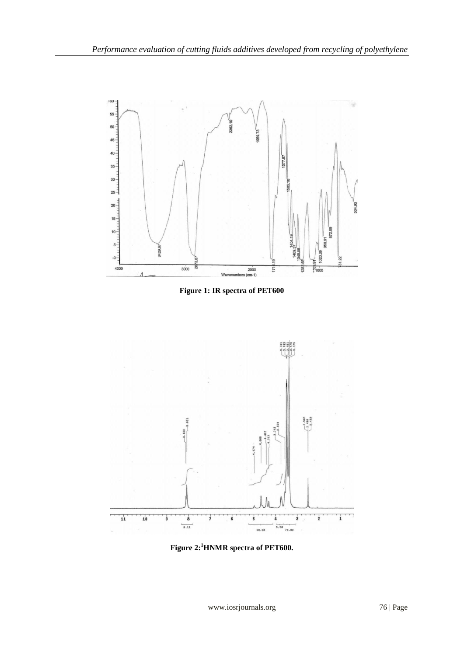

**Figure 1: IR spectra of PET600**



**Figure 2: <sup>1</sup>HNMR spectra of PET600.**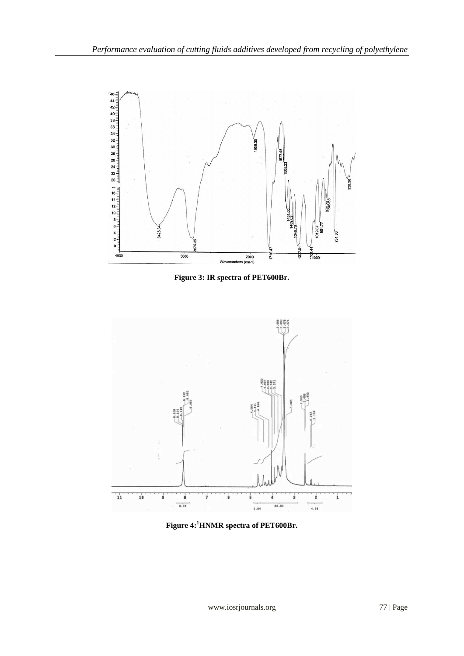

**Figure 3: IR spectra of PET600Br.** 



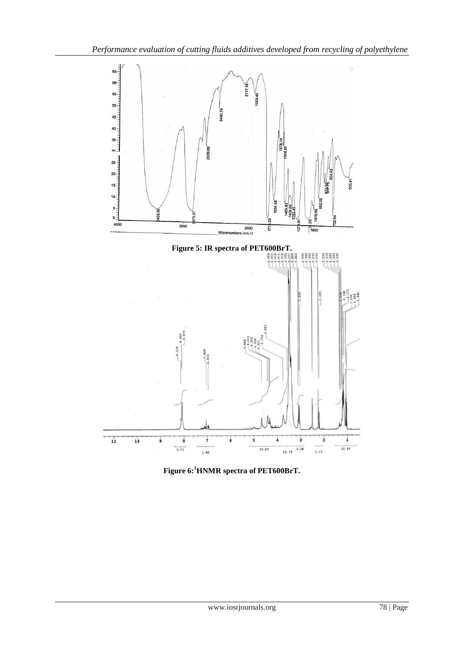